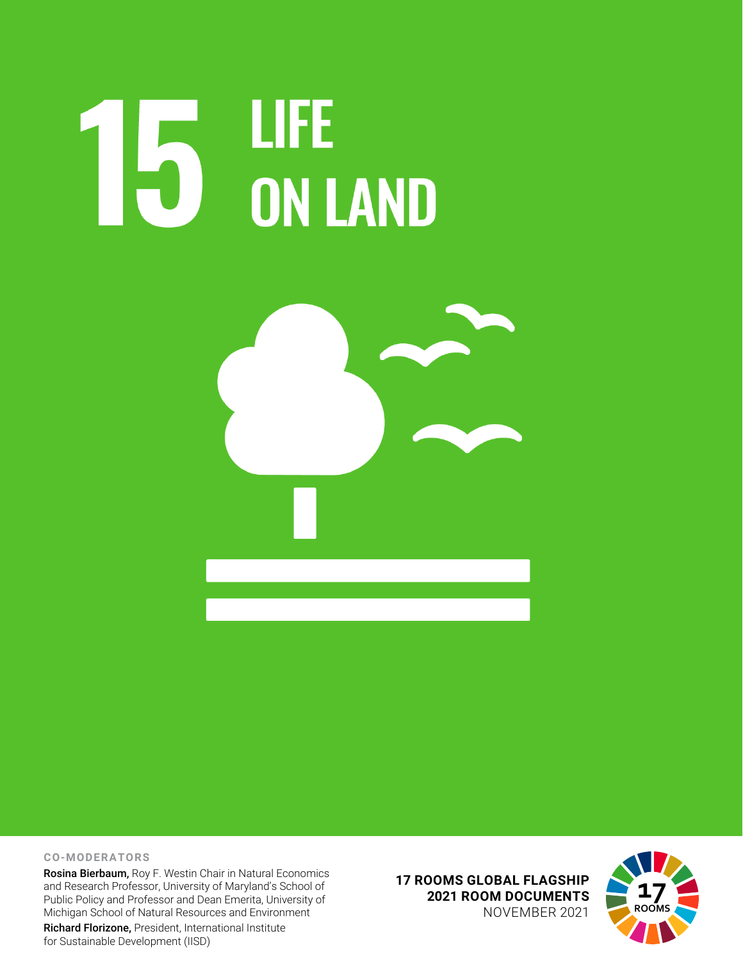# **15 LIFE<br>15 ON LAND**



### **CO-MODERATORS**

Rosina Bierbaum, Roy F. Westin Chair in Natural Economics and Research Professor, University of Maryland's School of Public Policy and Professor and Dean Emerita, University of Michigan School of Natural Resources and Environment Richard Florizone, President, International Institute for Sustainable Development (IISD)

**17 ROOMS GLOBAL FLAGSHIP 2021 ROOM DOCUMENTS** NOVEMBER 2021

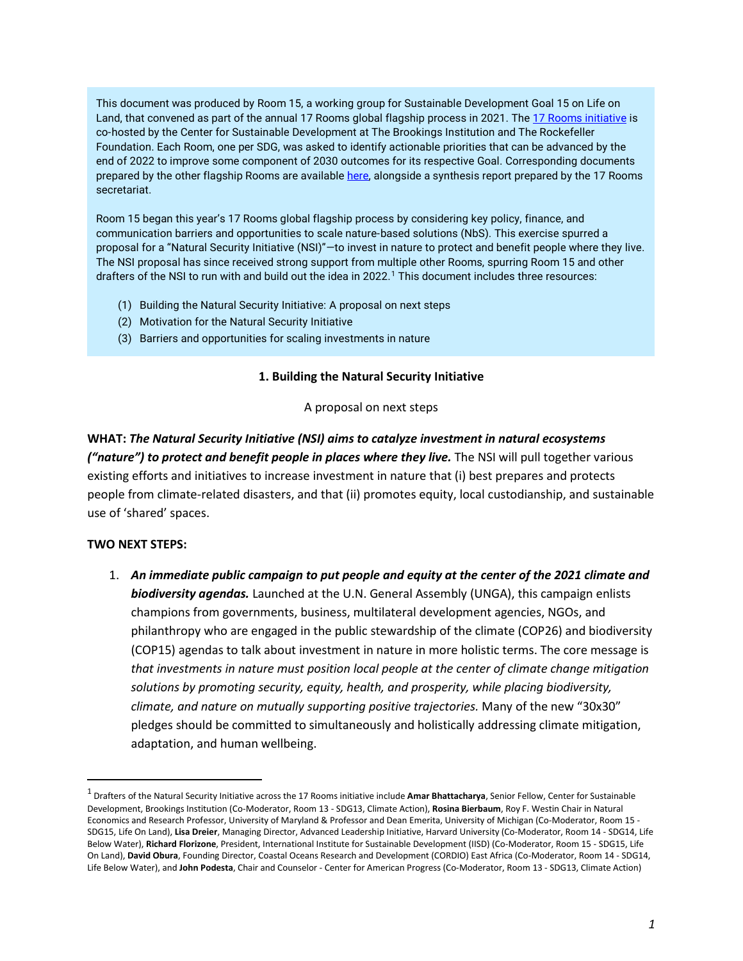This document was produced by Room 15, a working group for Sustainable Development Goal 15 on Life on Land, that convened as part of the annual 17 Rooms global flagship process in 2021. The [17 Rooms initiative](https://www.brookings.edu/project/17-rooms/) is co-hosted by the Center for Sustainable Development at The Brookings Institution and The Rockefeller Foundation. Each Room, one per SDG, was asked to identify actionable priorities that can be advanced by the end of 2022 to improve some component of 2030 outcomes for its respective Goal. Corresponding documents prepared by the other flagship Rooms are available [here,](http://www.brookings.edu/17rooms2021) alongside a synthesis report prepared by the 17 Rooms secretariat.

Room 15 began this year's 17 Rooms global flagship process by considering key policy, finance, and communication barriers and opportunities to scale nature-based solutions (NbS). This exercise spurred a proposal for a "Natural Security Initiative (NSI)"-to invest in nature to protect and benefit people where they live. The NSI proposal has since received strong support from multiple other Rooms, spurring Room 15 and other drafters of the NSI to run with and build out the idea in 2022.<sup>[1](#page-1-0)</sup> This document includes three resources:

- (1) Building the Natural Security Initiative: A proposal on next steps
- (2) Motivation for the Natural Security Initiative
- (3) Barriers and opportunities for scaling investments in nature

### **1. Building the Natural Security Initiative**

### A proposal on next steps

**WHAT:** *The Natural Security Initiative (NSI) aims to catalyze investment in natural ecosystems ("nature") to protect and benefit people in places where they live.* The NSI will pull together various existing efforts and initiatives to increase investment in nature that (i) best prepares and protects people from climate-related disasters, and that (ii) promotes equity, local custodianship, and sustainable use of 'shared' spaces.

### **TWO NEXT STEPS:**

1. *An immediate public campaign to put people and equity at the center of the 2021 climate and biodiversity agendas.* Launched at the U.N. General Assembly (UNGA), this campaign enlists champions from governments, business, multilateral development agencies, NGOs, and philanthropy who are engaged in the public stewardship of the climate (COP26) and biodiversity (COP15) agendas to talk about investment in nature in more holistic terms. The core message is *that investments in nature must position local people at the center of climate change mitigation solutions by promoting security, equity, health, and prosperity, while placing biodiversity, climate, and nature on mutually supporting positive trajectories.* Many of the new "30x30" pledges should be committed to simultaneously and holistically addressing climate mitigation, adaptation, and human wellbeing.

<span id="page-1-0"></span><sup>1</sup> Drafters of the Natural Security Initiative across the 17 Rooms initiative include **Amar Bhattacharya**, Senior Fellow, Center for Sustainable Development, Brookings Institution (Co-Moderator, Room 13 - SDG13, Climate Action), **Rosina Bierbaum**, Roy F. Westin Chair in Natural Economics and Research Professor, University of Maryland & Professor and Dean Emerita, University of Michigan (Co-Moderator, Room 15 - SDG15, Life On Land), **Lisa Dreier**, Managing Director, Advanced Leadership Initiative, Harvard University (Co-Moderator, Room 14 - SDG14, Life Below Water), **Richard Florizone**, President, International Institute for Sustainable Development (IISD) (Co-Moderator, Room 15 - SDG15, Life On Land), **David Obura**, Founding Director, Coastal Oceans Research and Development (CORDIO) East Africa (Co-Moderator, Room 14 - SDG14, Life Below Water), and **John Podesta**, Chair and Counselor - Center for American Progress (Co-Moderator, Room 13 - SDG13, Climate Action)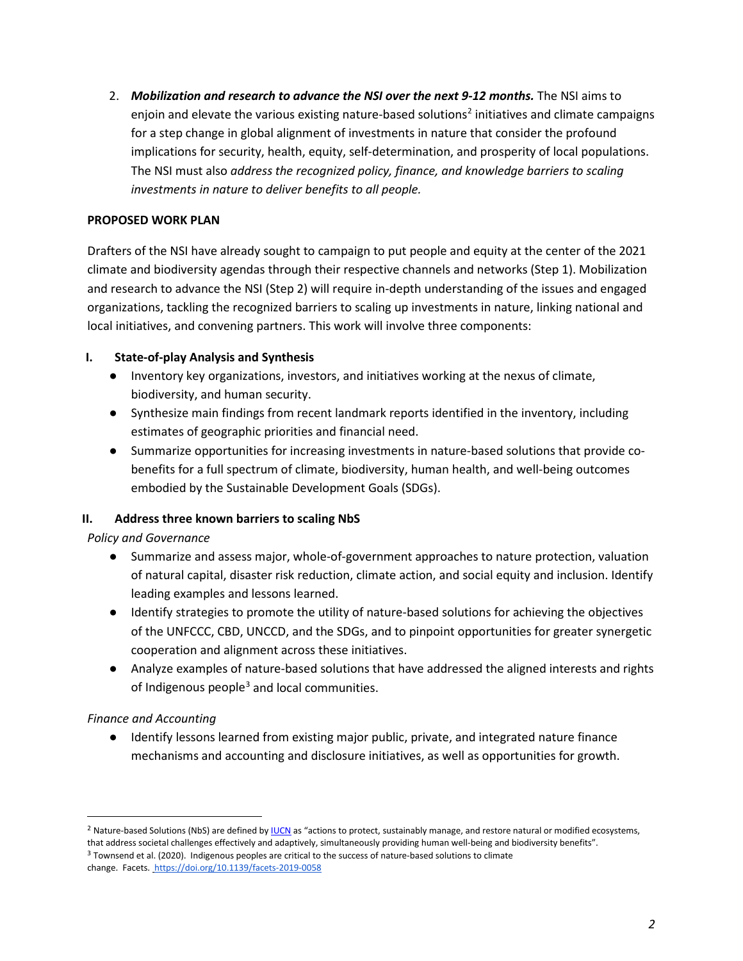2. *Mobilization and research to advance the NSI over the next 9-12 months.* The NSI aims to enjoin and elevate the various existing nature-based solutions<sup>[2](#page-2-0)</sup> initiatives and climate campaigns for a step change in global alignment of investments in nature that consider the profound implications for security, health, equity, self-determination, and prosperity of local populations. The NSI must also *address the recognized policy, finance, and knowledge barriers to scaling investments in nature to deliver benefits to all people.* 

### **PROPOSED WORK PLAN**

Drafters of the NSI have already sought to campaign to put people and equity at the center of the 2021 climate and biodiversity agendas through their respective channels and networks (Step 1). Mobilization and research to advance the NSI (Step 2) will require in-depth understanding of the issues and engaged organizations, tackling the recognized barriers to scaling up investments in nature, linking national and local initiatives, and convening partners. This work will involve three components:

# **I. State-of-play Analysis and Synthesis**

- Inventory key organizations, investors, and initiatives working at the nexus of climate, biodiversity, and human security.
- Synthesize main findings from recent landmark reports identified in the inventory, including estimates of geographic priorities and financial need.
- Summarize opportunities for increasing investments in nature-based solutions that provide cobenefits for a full spectrum of climate, biodiversity, human health, and well-being outcomes embodied by the Sustainable Development Goals (SDGs).

# **II. Address three known barriers to scaling NbS**

*Policy and Governance*

- Summarize and assess major, whole-of-government approaches to nature protection, valuation of natural capital, disaster risk reduction, climate action, and social equity and inclusion. Identify leading examples and lessons learned.
- Identify strategies to promote the utility of nature-based solutions for achieving the objectives of the UNFCCC, CBD, UNCCD, and the SDGs, and to pinpoint opportunities for greater synergetic cooperation and alignment across these initiatives.
- Analyze examples of nature-based solutions that have addressed the aligned interests and rights of Indigenous people $3$  and local communities.

### *Finance and Accounting*

● Identify lessons learned from existing major public, private, and integrated nature finance mechanisms and accounting and disclosure initiatives, as well as opportunities for growth.

<span id="page-2-0"></span><sup>&</sup>lt;sup>2</sup> Nature-based Solutions (NbS) are defined b[y IUCN](https://www.iucn.org/commissions/commission-ecosystem-management/our-work/nature-based-solutions) as "actions to protect, sustainably manage, and restore natural or modified ecosystems, that address societal challenges effectively and adaptively, simultaneously providing human well-being and biodiversity benefits".

<span id="page-2-1"></span><sup>&</sup>lt;sup>3</sup> Townsend et al. (2020). Indigenous peoples are critical to the success of nature-based solutions to climate change. Facets[. https://doi.org/10.1139/facets-2019-0058](https://doi.org/10.1139/facets-2019-0058)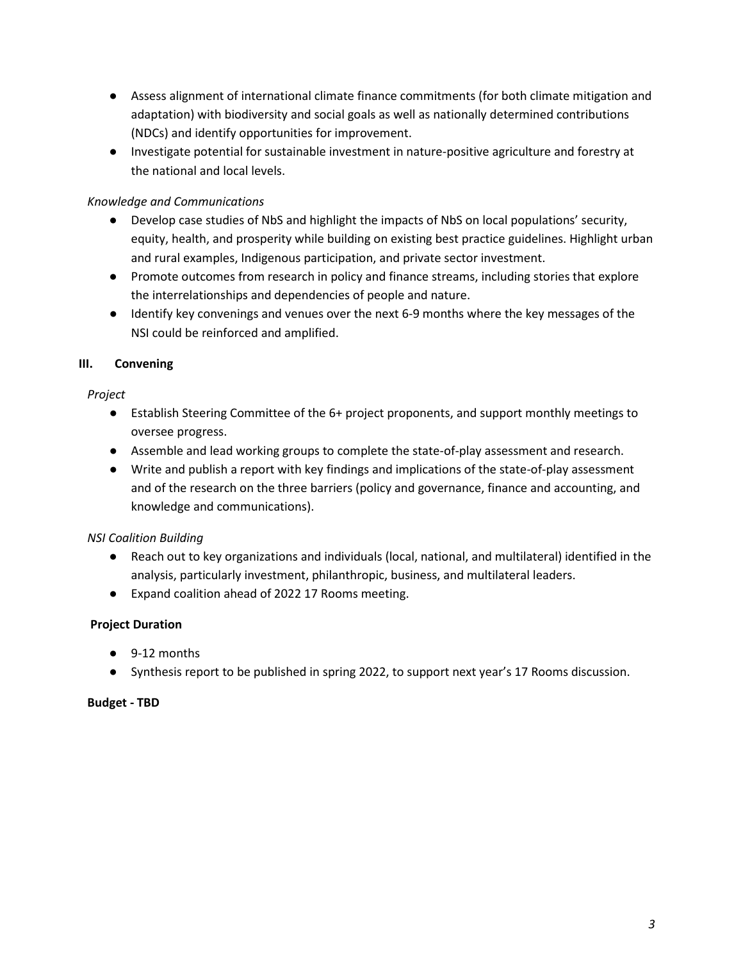- Assess alignment of international climate finance commitments (for both climate mitigation and adaptation) with biodiversity and social goals as well as nationally determined contributions (NDCs) and identify opportunities for improvement.
- Investigate potential for sustainable investment in nature-positive agriculture and forestry at the national and local levels.

# *Knowledge and Communications*

- Develop case studies of NbS and highlight the impacts of NbS on local populations' security, equity, health, and prosperity while building on existing best practice guidelines. Highlight urban and rural examples, Indigenous participation, and private sector investment.
- Promote outcomes from research in policy and finance streams, including stories that explore the interrelationships and dependencies of people and nature.
- Identify key convenings and venues over the next 6-9 months where the key messages of the NSI could be reinforced and amplified.

# **III. Convening**

# *Project*

- Establish Steering Committee of the 6+ project proponents, and support monthly meetings to oversee progress.
- Assemble and lead working groups to complete the state-of-play assessment and research.
- Write and publish a report with key findings and implications of the state-of-play assessment and of the research on the three barriers (policy and governance, finance and accounting, and knowledge and communications).

# *NSI Coalition Building*

- Reach out to key organizations and individuals (local, national, and multilateral) identified in the analysis, particularly investment, philanthropic, business, and multilateral leaders.
- Expand coalition ahead of 2022 17 Rooms meeting.

# **Project Duration**

- 9-12 months
- Synthesis report to be published in spring 2022, to support next year's 17 Rooms discussion.

### **Budget - TBD**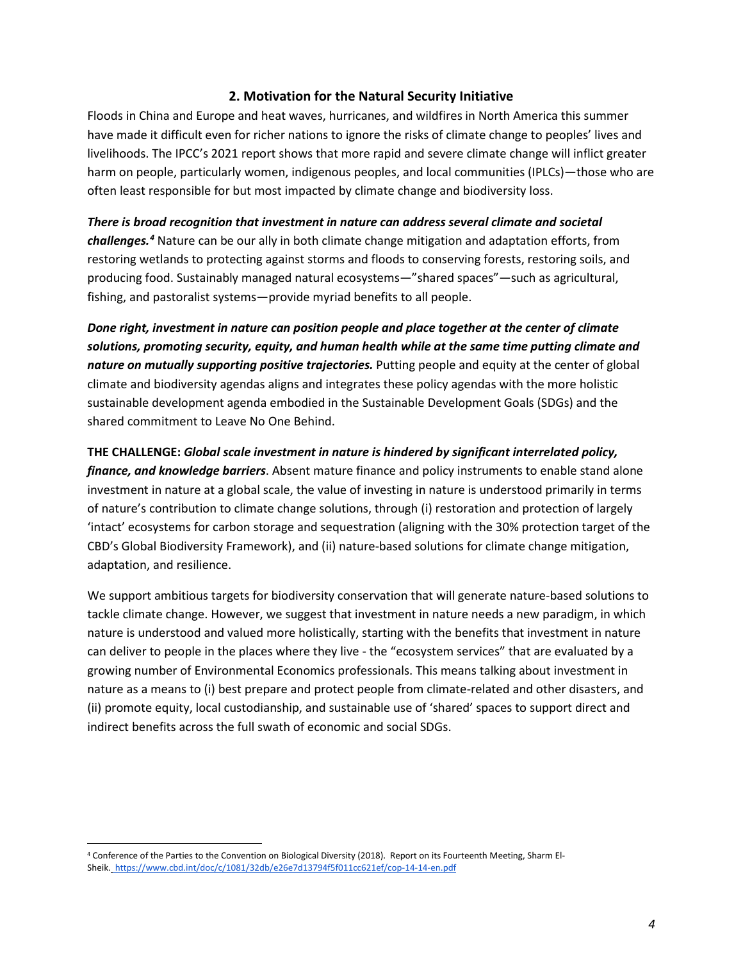### **2. Motivation for the Natural Security Initiative**

Floods in China and Europe and heat waves, hurricanes, and wildfires in North America this summer have made it difficult even for richer nations to ignore the risks of climate change to peoples' lives and livelihoods. The IPCC's 2021 report shows that more rapid and severe climate change will inflict greater harm on people, particularly women, indigenous peoples, and local communities (IPLCs)—those who are often least responsible for but most impacted by climate change and biodiversity loss.

### *There is broad recognition that investment in nature can address several climate and societal*

*challenges. [4](#page-4-0)* Nature can be our ally in both climate change mitigation and adaptation efforts, from restoring wetlands to protecting against storms and floods to conserving forests, restoring soils, and producing food. Sustainably managed natural ecosystems—"shared spaces"—such as agricultural, fishing, and pastoralist systems—provide myriad benefits to all people.

*Done right, investment in nature can position people and place together at the center of climate solutions, promoting security, equity, and human health while at the same time putting climate and nature on mutually supporting positive trajectories.* Putting people and equity at the center of global climate and biodiversity agendas aligns and integrates these policy agendas with the more holistic sustainable development agenda embodied in the Sustainable Development Goals (SDGs) and the shared commitment to Leave No One Behind.

### **THE CHALLENGE:** *Global scale investment in nature is hindered by significant interrelated policy,*

*finance, and knowledge barriers*. Absent mature finance and policy instruments to enable stand alone investment in nature at a global scale, the value of investing in nature is understood primarily in terms of nature's contribution to climate change solutions, through (i) restoration and protection of largely 'intact' ecosystems for carbon storage and sequestration (aligning with the 30% protection target of the CBD's Global Biodiversity Framework), and (ii) nature-based solutions for climate change mitigation, adaptation, and resilience.

We support ambitious targets for biodiversity conservation that will generate nature-based solutions to tackle climate change. However, we suggest that investment in nature needs a new paradigm, in which nature is understood and valued more holistically, starting with the benefits that investment in nature can deliver to people in the places where they live - the "ecosystem services" that are evaluated by a growing number of Environmental Economics professionals. This means talking about investment in nature as a means to (i) best prepare and protect people from climate-related and other disasters, and (ii) promote equity, local custodianship, and sustainable use of 'shared' spaces to support direct and indirect benefits across the full swath of economic and social SDGs.

<span id="page-4-0"></span><sup>4</sup> Conference of the Parties to the Convention on Biological Diversity (2018). Report on its Fourteenth Meeting, Sharm El-Sheik. <https://www.cbd.int/doc/c/1081/32db/e26e7d13794f5f011cc621ef/cop-14-14-en.pdf>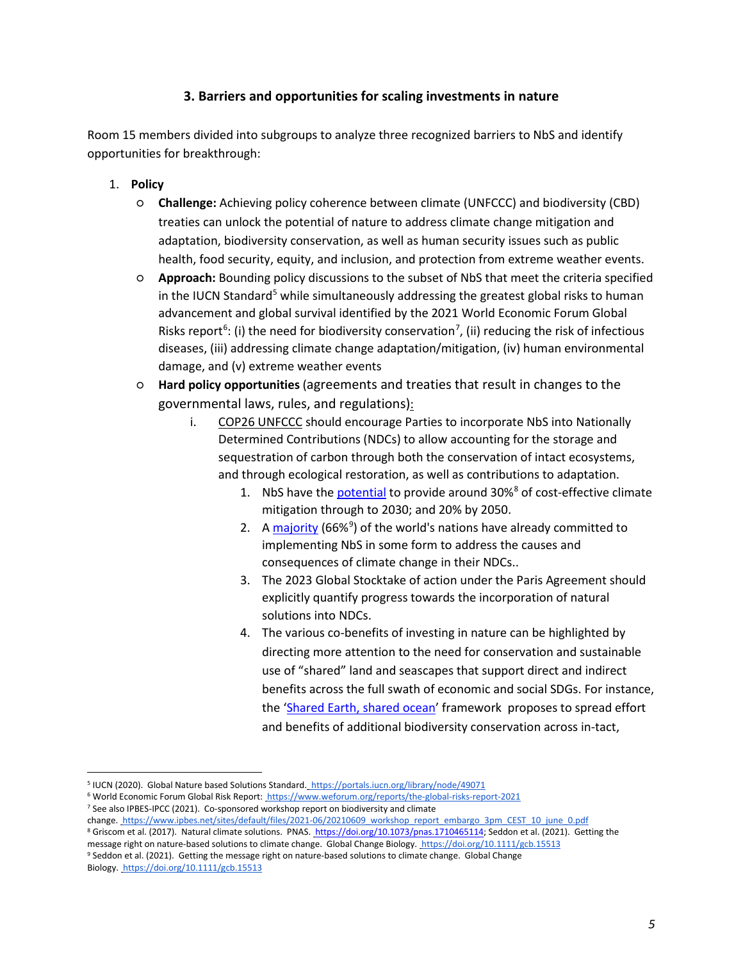# **3. Barriers and opportunities for scaling investments in nature**

Room 15 members divided into subgroups to analyze three recognized barriers to NbS and identify opportunities for breakthrough:

- 1. **Policy** 
	- **Challenge:** Achieving policy coherence between climate (UNFCCC) and biodiversity (CBD) treaties can unlock the potential of nature to address climate change mitigation and adaptation, biodiversity conservation, as well as human security issues such as public health, food security, equity, and inclusion, and protection from extreme weather events.
	- **Approach:** Bounding policy discussions to the subset of NbS that meet the criteria specified in the IUCN Standard<sup>[5](#page-5-0)</sup> while simultaneously addressing the greatest global risks to human advancement and global survival identified by the 2021 World Economic Forum Global Risks report<sup>[6](#page-5-1)</sup>: (i) the need for biodiversity conservation<sup>[7](#page-5-2)</sup>, (ii) reducing the risk of infectious diseases, (iii) addressing climate change adaptation/mitigation, (iv) human environmental damage, and (v) extreme weather events
	- **Hard policy opportunities** (agreements and treaties that result in changes to the governmental laws, rules, and regulations):
		- i. COP26 UNFCCC should encourage Parties to incorporate NbS into Nationally Determined Contributions (NDCs) to allow accounting for the storage and sequestration of carbon through both the conservation of intact ecosystems, and through ecological restoration, as well as contributions to adaptation.
			- 1. NbS have the [potential](https://www.genevaenvironmentnetwork.org/resources/updates/nature-based-solutions/) to provide around 30%<sup>[8](#page-5-3)</sup> of cost-effective climate mitigation through to 2030; and 20% by 2050.
			- 2. A [majority](https://onlinelibrary.wiley.com/doi/10.1111/gcb.15513) (66%<sup>[9](#page-5-4)</sup>) of the world's nations have already committed to implementing NbS in some form to address the causes and consequences of climate change in their NDCs..
			- 3. The 2023 Global Stocktake of action under the Paris Agreement should explicitly quantify progress towards the incorporation of natural solutions into NDCs.
			- 4. The various co-benefits of investing in nature can be highlighted by directing more attention to the need for conservation and sustainable use of "shared" land and seascapes that support direct and indirect benefits across the full swath of economic and social SDGs. For instance, the ['Shared Earth, shared ocean'](https://www.science.org/doi/abs/10.1126/science.abh2234?utm_campaign=toc_sci-mag_2021-08-12&et_cid=3880749&et_rid=17045725) framework proposes to spread effort and benefits of additional biodiversity conservation across in-tact,

<span id="page-5-0"></span><sup>5</sup> IUCN (2020). Global Nature based Solutions Standard. <https://portals.iucn.org/library/node/49071>

<span id="page-5-1"></span><sup>6</sup> World Economic Forum Global Risk Report[: https://www.weforum.org/reports/the-global-risks-report-2021](https://www.weforum.org/reports/the-global-risks-report-2021)

<span id="page-5-2"></span><sup>7</sup> See also IPBES-IPCC (2021). Co-sponsored workshop report on biodiversity and climate

change[. https://www.ipbes.net/sites/default/files/2021-06/20210609\\_workshop\\_report\\_embargo\\_3pm\\_CEST\\_10\\_june\\_0.pdf](https://www.ipbes.net/sites/default/files/2021-06/20210609_workshop_report_embargo_3pm_CEST_10_june_0.pdf) <sup>8</sup> Griscom et al. (2017). Natural climate solutions. PNAS[. https://doi.org/10.1073/pnas.1710465114;](https://doi.org/10.1073/pnas.1710465114) Seddon et al. (2021). Getting the

<span id="page-5-4"></span><span id="page-5-3"></span>message right on nature-based solutions to climate change. Global Change Biology.<https://doi.org/10.1111/gcb.15513> <sup>9</sup> Seddon et al. (2021). Getting the message right on nature-based solutions to climate change. Global Change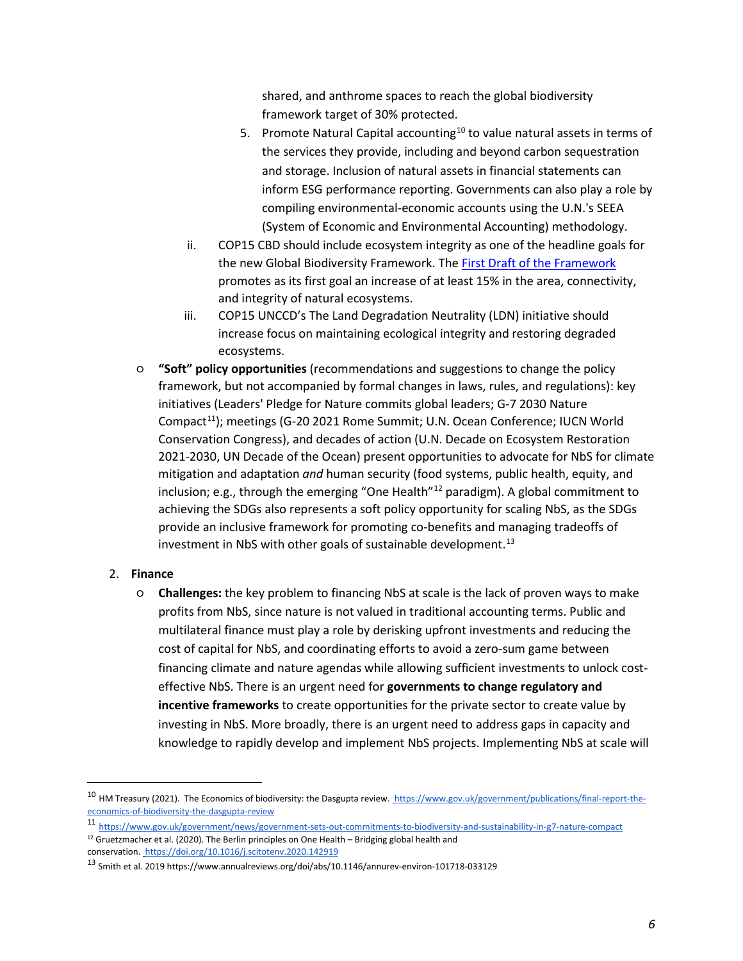shared, and anthrome spaces to reach the global biodiversity framework target of 30% protected.

- 5. Promote Natural Capital accounting<sup>[10](#page-6-0)</sup> to value natural assets in terms of the services they provide, including and beyond carbon sequestration and storage. Inclusion of natural assets in financial statements can inform ESG performance reporting. Governments can also play a role by compiling environmental-economic accounts using the U.N.'s SEEA (System of Economic and Environmental Accounting) methodology.
- ii. COP15 CBD should include ecosystem integrity as one of the headline goals for the new Global Biodiversity Framework. Th[e First Draft of the Framework](https://www.cbd.int/article/draft-1-global-biodiversity-framework) promotes as its first goal an increase of at least 15% in the area, connectivity, and integrity of natural ecosystems.
- iii. COP15 UNCCD's The Land Degradation Neutrality (LDN) initiative should increase focus on maintaining ecological integrity and restoring degraded ecosystems.
- **"Soft" policy opportunities** (recommendations and suggestions to change the policy framework, but not accompanied by formal changes in laws, rules, and regulations): key initiatives (Leaders' Pledge for Nature commits global leaders; G-7 2030 Nature Compact[11\)](#page-6-1); meetings (G-20 2021 Rome Summit; U.N. Ocean Conference; IUCN World Conservation Congress), and decades of action (U.N. Decade on Ecosystem Restoration 2021-2030, UN Decade of the Ocean) present opportunities to advocate for NbS for climate mitigation and adaptation *and* human security (food systems, public health, equity, and inclusion; e.g., through the emerging "One Health"<sup>[12](#page-6-2)</sup> paradigm). A global commitment to achieving the SDGs also represents a soft policy opportunity for scaling NbS, as the SDGs provide an inclusive framework for promoting co-benefits and managing tradeoffs of investment in NbS with other goals of sustainable development. $13$
- 2. **Finance** 
	- **Challenges:** the key problem to financing NbS at scale is the lack of proven ways to make profits from NbS, since nature is not valued in traditional accounting terms. Public and multilateral finance must play a role by derisking upfront investments and reducing the cost of capital for NbS, and coordinating efforts to avoid a zero-sum game between financing climate and nature agendas while allowing sufficient investments to unlock costeffective NbS. There is an urgent need for **governments to change regulatory and incentive frameworks** to create opportunities for the private sector to create value by investing in NbS. More broadly, there is an urgent need to address gaps in capacity and knowledge to rapidly develop and implement NbS projects. Implementing NbS at scale will

<span id="page-6-0"></span><sup>&</sup>lt;sup>10</sup> HM Treasury (2021). The Economics of biodiversity: the Dasgupta review[. https://www.gov.uk/government/publications/final-report-the](https://www.gov.uk/government/publications/final-report-the-economics-of-biodiversity-the-dasgupta-review)[economics-of-biodiversity-the-dasgupta-review](https://www.gov.uk/government/publications/final-report-the-economics-of-biodiversity-the-dasgupta-review)

<span id="page-6-2"></span><span id="page-6-1"></span><sup>11</sup> <https://www.gov.uk/government/news/government-sets-out-commitments-to-biodiversity-and-sustainability-in-g7-nature-compact>  $12$  Gruetzmacher et al. (2020). The Berlin principles on One Health – Bridging global health and conservation[. https://doi.org/10.1016/j.scitotenv.2020.142919](https://doi.org/10.1016/j.scitotenv.2020.142919)

<span id="page-6-3"></span><sup>13</sup> Smith et al. 2019 https://www.annualreviews.org/doi/abs/10.1146/annurev-environ-101718-033129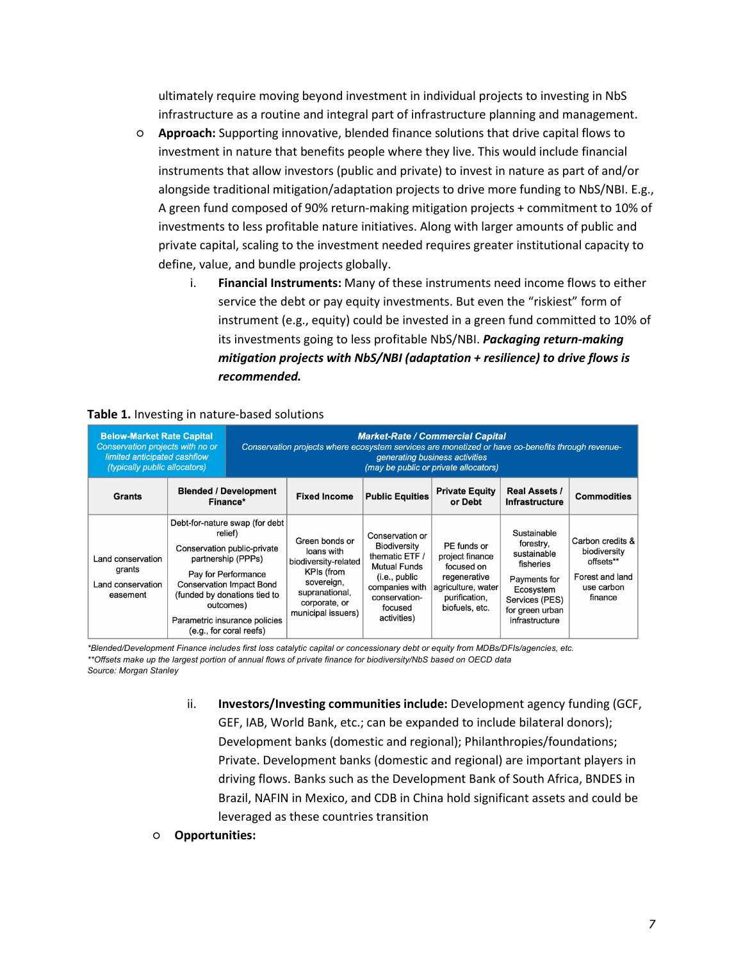ultimately require moving beyond investment in individual projects to investing in NbS infrastructure as a routine and integral part of infrastructure planning and management.

- **Approach:** Supporting innovative, blended finance solutions that drive capital flows to investment in nature that benefits people where they live. This would include financial instruments that allow investors (public and private) to invest in nature as part of and/or alongside traditional mitigation/adaptation projects to drive more funding to NbS/NBI. E.g., A green fund composed of 90% return-making mitigation projects + commitment to 10% of investments to less profitable nature initiatives. Along with larger amounts of public and private capital, scaling to the investment needed requires greater institutional capacity to define, value, and bundle projects globally.
	- i. **Financial Instruments:** Many of these instruments need income flows to either service the debt or pay equity investments. But even the "riskiest" form of instrument (e.g., equity) could be invested in a green fund committed to 10% of its investments going to less profitable NbS/NBI. *Packaging return-making mitigation projects with NbS/NBI (adaptation + resilience) to drive flows is recommended.*

| <b>Below-Market Rate Capital</b><br>Conservation projects with no or<br>limited anticipated cashflow<br><i>(typically public allocators)</i> |                                                                                                                                                                                                                                                                   | <b>Market-Rate / Commercial Capital</b><br>Conservation projects where ecosystem services are monetized or have co-benefits through revenue-<br>generating business activities<br>(may be public or private allocators) |                                                                                                                                           |                                                                                                                                                        |                                                                                                                       |                                                                                                                                          |                                                                                           |
|----------------------------------------------------------------------------------------------------------------------------------------------|-------------------------------------------------------------------------------------------------------------------------------------------------------------------------------------------------------------------------------------------------------------------|-------------------------------------------------------------------------------------------------------------------------------------------------------------------------------------------------------------------------|-------------------------------------------------------------------------------------------------------------------------------------------|--------------------------------------------------------------------------------------------------------------------------------------------------------|-----------------------------------------------------------------------------------------------------------------------|------------------------------------------------------------------------------------------------------------------------------------------|-------------------------------------------------------------------------------------------|
| <b>Grants</b>                                                                                                                                | <b>Blended / Development</b><br>Finance*                                                                                                                                                                                                                          |                                                                                                                                                                                                                         | <b>Fixed Income</b>                                                                                                                       | <b>Public Equities</b>                                                                                                                                 | <b>Private Equity</b><br>or Debt                                                                                      | <b>Real Assets /</b><br><b>Infrastructure</b>                                                                                            | <b>Commodities</b>                                                                        |
| Land conservation<br>grants<br>Land conservation<br>easement                                                                                 | Debt-for-nature swap (for debt<br>relief)<br>Conservation public-private<br>partnership (PPPs)<br>Pay for Performance<br><b>Conservation Impact Bond</b><br>(funded by donations tied to<br>outcomes)<br>Parametric insurance policies<br>(e.g., for coral reefs) |                                                                                                                                                                                                                         | Green bonds or<br>loans with<br>biodiversity-related<br>KPIs (from<br>sovereign,<br>supranational,<br>corporate, or<br>municipal issuers) | Conservation or<br>Biodiversity<br>thematic ETF /<br><b>Mutual Funds</b><br>(i.e., public<br>companies with<br>conservation-<br>focused<br>activities) | PE funds or<br>project finance<br>focused on<br>regenerative<br>agriculture, water<br>purification,<br>biofuels, etc. | Sustainable<br>forestry,<br>sustainable<br>fisheries<br>Payments for<br>Ecosystem<br>Services (PES)<br>for green urban<br>infrastructure | Carbon credits &<br>biodiversity<br>offsets**<br>Forest and land<br>use carbon<br>finance |

### **Table 1.** Investing in nature-based solutions

*\*Blended/Development Finance includes first loss catalytic capital or concessionary debt or equity from MDBs/DFIs/agencies, etc. \*\*Offsets make up the largest portion of annual flows of private finance for biodiversity/NbS based on OECD data Source: Morgan Stanley*

- ii. **Investors/Investing communities include:** Development agency funding (GCF, GEF, IAB, World Bank, etc.; can be expanded to include bilateral donors); Development banks (domestic and regional); Philanthropies/foundations; Private. Development banks (domestic and regional) are important players in driving flows. Banks such as the Development Bank of South Africa, BNDES in Brazil, NAFIN in Mexico, and CDB in China hold significant assets and could be leveraged as these countries transition
- **Opportunities:**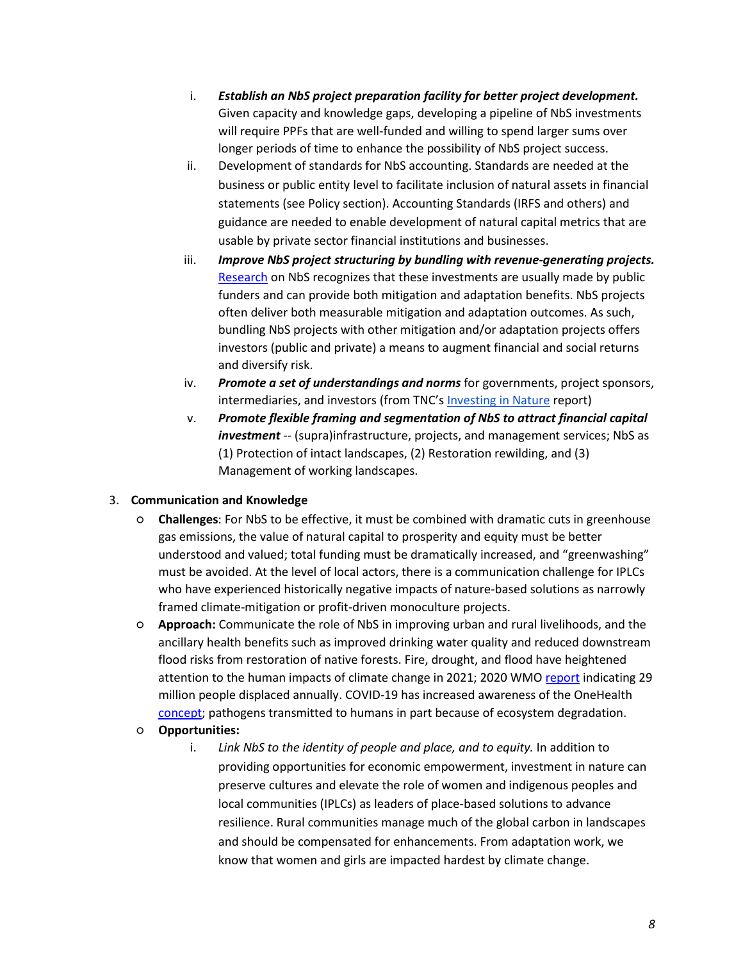- i. *Establish an NbS project preparation facility for better project development.* Given capacity and knowledge gaps, developing a pipeline of NbS investments will require PPFs that are well-funded and willing to spend larger sums over longer periods of time to enhance the possibility of NbS project success.
- ii. Development of standards for NbS accounting. Standards are needed at the business or public entity level to facilitate inclusion of natural assets in financial statements (see Policy section). Accounting Standards (IRFS and others) and guidance are needed to enable development of natural capital metrics that are usable by private sector financial institutions and businesses.
- iii. *Improve NbS project structuring by bundling with revenue-generating projects.* [Research](https://serval.unil.ch/resource/serval:BIB_93FD38C8836B.P001/REF) on NbS recognizes that these investments are usually made by public funders and can provide both mitigation and adaptation benefits. NbS projects often deliver both measurable mitigation and adaptation outcomes. As such, bundling NbS projects with other mitigation and/or adaptation projects offers investors (public and private) a means to augment financial and social returns and diversify risk.
- iv. *Promote a set of understandings and norms* for governments, project sponsors, intermediaries, and investors (from TNC'[s Investing in Nature](https://www.nature.org/content/dam/tnc/nature/en/documents/TNC-INVESTING-IN-NATURE_Report_01.pdf) report)
- v. *Promote flexible framing and segmentation of NbS to attract financial capital investment* -- (supra)infrastructure, projects, and management services; NbS as (1) Protection of intact landscapes, (2) Restoration rewilding, and (3) Management of working landscapes.

### 3. **Communication and Knowledge**

- **Challenges**: For NbS to be effective, it must be combined with dramatic cuts in greenhouse gas emissions, the value of natural capital to prosperity and equity must be better understood and valued; total funding must be dramatically increased, and "greenwashing" must be avoided. At the level of local actors, there is a communication challenge for IPLCs who have experienced historically negative impacts of nature-based solutions as narrowly framed climate-mitigation or profit-driven monoculture projects.
- **Approach:** Communicate the role of NbS in improving urban and rural livelihoods, and the ancillary health benefits such as improved drinking water quality and reduced downstream flood risks from restoration of native forests. Fire, drought, and flood have heightened attention to the human impacts of climate change in 2021; 2020 WM[O report](https://library.wmo.int/index.php?lvl=notice_display&id=21880#.YW8LQxDMK3J) indicating 29 million people displaced annually. COVID-19 has increased awareness of the OneHealth [concept;](https://www.cdc.gov/onehealth/basics/index.html#:%7E:text=One%20Health%20is%20a%20collaborative,plants%2C%20and%20their%20shared%20environment.) pathogens transmitted to humans in part because of ecosystem degradation.
- **Opportunities:**
	- i. *Link NbS to the identity of people and place, and to equity.* In addition to providing opportunities for economic empowerment, investment in nature can preserve cultures and elevate the role of women and indigenous peoples and local communities (IPLCs) as leaders of place-based solutions to advance resilience. Rural communities manage much of the global carbon in landscapes and should be compensated for enhancements. From adaptation work, we know that women and girls are impacted hardest by climate change.